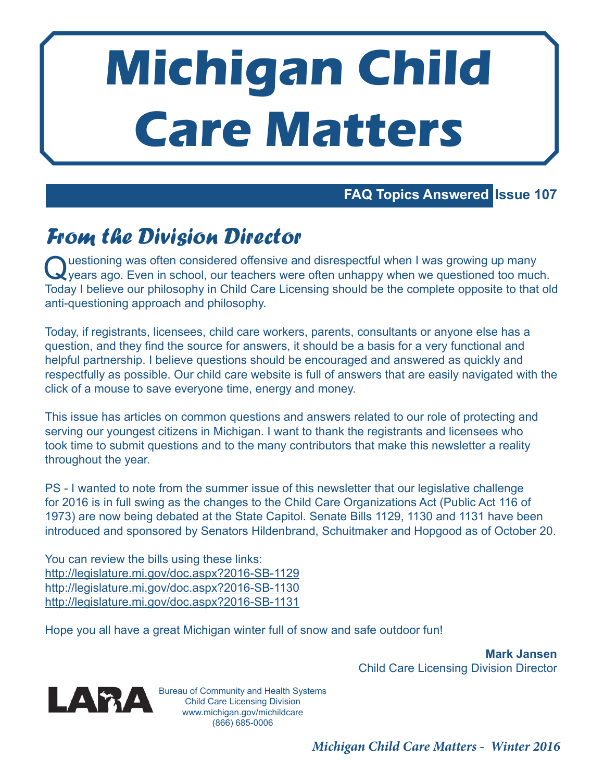# **Michigan Child Care Matters**

### **FAQ Topics Answered Issue 107**

## From the Division Director

Q uestioning was often considered offensive and disrespectful when I was growing up many years ago. Even in school, our teachers were often unhappy when we questioned too much. Today I believe our philosophy in Child Care Licensing should be the complete opposite to that old anti-questioning approach and philosophy.

Today, if registrants, licensees, child care workers, parents, consultants or anyone else has a question, and they find the source for answers, it should be a basis for a very functional and helpful partnership. I believe questions should be encouraged and answered as quickly and respectfully as possible. Our child care website is full of answers that are easily navigated with the click of a mouse to save everyone time, energy and money.

This issue has articles on common questions and answers related to our role of protecting and serving our youngest citizens in Michigan. I want to thank the registrants and licensees who took time to submit questions and to the many contributors that make this newsletter a reality throughout the year.

PS - I wanted to note from the summer issue of this newsletter that our legislative challenge for 2016 is in full swing as the changes to the Child Care Organizations Act (Public Act 116 of 1973) are now being debated at the State Capitol. Senate Bills 1129, 1130 and 1131 have been introduced and sponsored by Senators Hildenbrand, Schuitmaker and Hopgood as of October 20.

You can review the bills using these links: http://legislature.mi.gov/doc.aspx?2016-SB-1129 http://legislature.mi.gov/doc.aspx?2016-SB-1130 http://legislature.mi.gov/doc.aspx?2016-SB-1131

Hope you all have a great Michigan winter full of snow and safe outdoor fun!

**Mark Jansen** Child Care Licensing Division Director



Bureau of Community and Health Systems Child Care Licensing Division www.michigan.gov/michildcare (866) 685-0006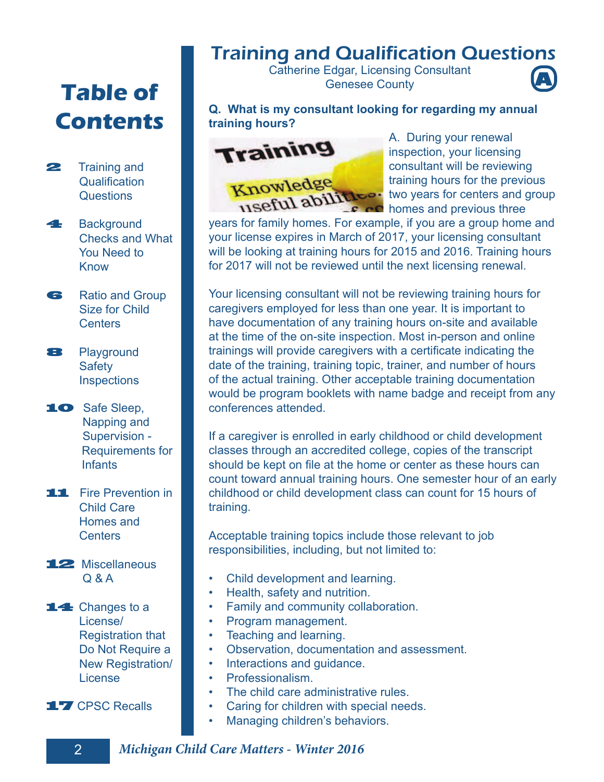# **Table of Contents**

- **22** Training and Qualification **Questions**
- **4** Background Checks and What You Need to Know
- **6** Ratio and Group Size for Child Centers
- 8 Playground **Safety Inspections**
- 10 Safe Sleep, Napping and Supervision - Requirements for **Infants**
- **11** Fire Prevention in Child Care Homes and **Centers**
- 12 Miscellaneous Q & A

14 Changes to a License/ Registration that Do Not Require a New Registration/ License

17 CPSC Recalls

## Training and Qualification Questions

Catherine Edgar, Licensing Consultant Genesee County **A**



**Q. What is my consultant looking for regarding my annual training hours?**



A. During your renewal inspection, your licensing consultant will be reviewing training hours for the previous two years for centers and group homes and previous three

years for family homes. For example, if you are a group home and your license expires in March of 2017, your licensing consultant will be looking at training hours for 2015 and 2016. Training hours for 2017 will not be reviewed until the next licensing renewal.

Your licensing consultant will not be reviewing training hours for caregivers employed for less than one year. It is important to have documentation of any training hours on-site and available at the time of the on-site inspection. Most in-person and online trainings will provide caregivers with a certificate indicating the date of the training, training topic, trainer, and number of hours of the actual training. Other acceptable training documentation would be program booklets with name badge and receipt from any conferences attended.

If a caregiver is enrolled in early childhood or child development classes through an accredited college, copies of the transcript should be kept on file at the home or center as these hours can count toward annual training hours. One semester hour of an early childhood or child development class can count for 15 hours of training.

Acceptable training topics include those relevant to job responsibilities, including, but not limited to:

- Child development and learning.
- Health, safety and nutrition.
- Family and community collaboration.
- Program management.
- Teaching and learning.
- Observation, documentation and assessment.
- Interactions and guidance.
- Professionalism.
- The child care administrative rules.
- Caring for children with special needs.
- Managing children's behaviors.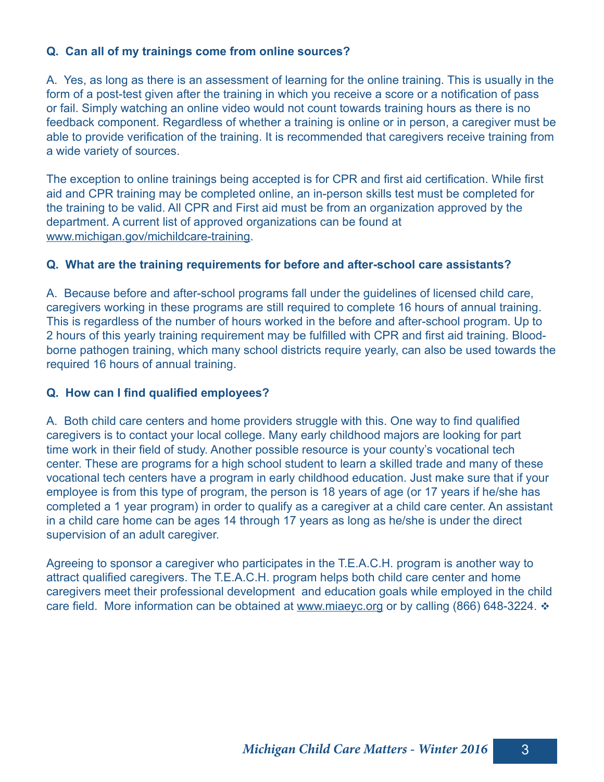#### **Q. Can all of my trainings come from online sources?**

A. Yes, as long as there is an assessment of learning for the online training. This is usually in the form of a post-test given after the training in which you receive a score or a notification of pass or fail. Simply watching an online video would not count towards training hours as there is no feedback component. Regardless of whether a training is online or in person, a caregiver must be able to provide verification of the training. It is recommended that caregivers receive training from a wide variety of sources.

The exception to online trainings being accepted is for CPR and first aid certification. While first aid and CPR training may be completed online, an in-person skills test must be completed for the training to be valid. All CPR and First aid must be from an organization approved by the department. A current list of approved organizations can be found at www.michigan.gov/michildcare-training.

#### **Q. What are the training requirements for before and after-school care assistants?**

A. Because before and after-school programs fall under the guidelines of licensed child care, caregivers working in these programs are still required to complete 16 hours of annual training. This is regardless of the number of hours worked in the before and after-school program. Up to 2 hours of this yearly training requirement may be fulfilled with CPR and first aid training. Bloodborne pathogen training, which many school districts require yearly, can also be used towards the required 16 hours of annual training.

#### **Q. How can I find qualified employees?**

A. Both child care centers and home providers struggle with this. One way to find qualified caregivers is to contact your local college. Many early childhood majors are looking for part time work in their field of study. Another possible resource is your county's vocational tech center. These are programs for a high school student to learn a skilled trade and many of these vocational tech centers have a program in early childhood education. Just make sure that if your employee is from this type of program, the person is 18 years of age (or 17 years if he/she has completed a 1 year program) in order to qualify as a caregiver at a child care center. An assistant in a child care home can be ages 14 through 17 years as long as he/she is under the direct supervision of an adult caregiver.

Agreeing to sponsor a caregiver who participates in the T.E.A.C.H. program is another way to attract qualified caregivers. The T.E.A.C.H. program helps both child care center and home caregivers meet their professional development and education goals while employed in the child care field. More information can be obtained at www.miaeyc.org or by calling (866) 648-3224.  $\div$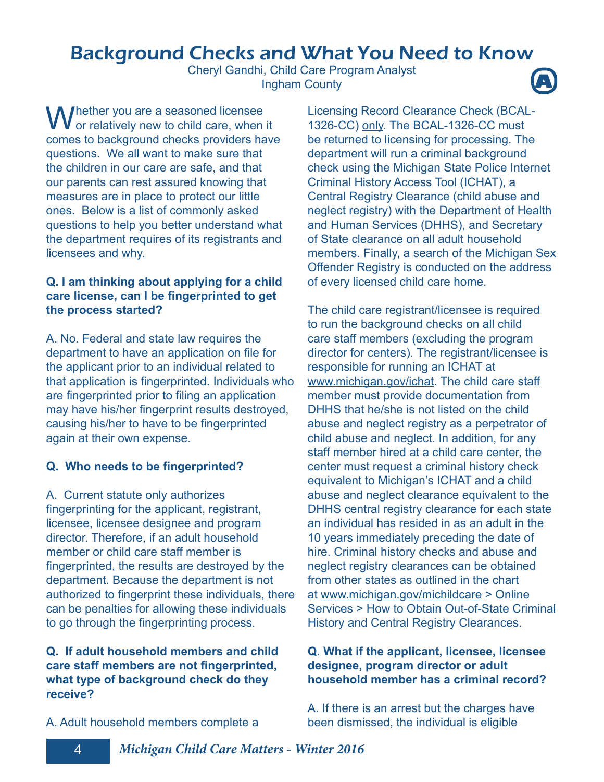## Background Checks and What You Need to Know

Cheryl Gandhi, Child Care Program Analyst Ingham County **A**

Whether you are a seasoned licensee<br>or relatively new to child care, when it comes to background checks providers have questions. We all want to make sure that the children in our care are safe, and that our parents can rest assured knowing that measures are in place to protect our little ones. Below is a list of commonly asked questions to help you better understand what the department requires of its registrants and licensees and why.

#### **Q. I am thinking about applying for a child**  care license, can I be fingerprinted to get **the process started?**

A. No. Federal and state law requires the department to have an application on file for the applicant prior to an individual related to that application is fingerprinted. Individuals who are fingerprinted prior to filing an application may have his/her fingerprint results destroyed, causing his/her to have to be fingerprinted again at their own expense.

#### **Q. Who needs to be fingerprinted?**

A. Current statute only authorizes fingerprinting for the applicant, registrant, licensee, licensee designee and program director. Therefore, if an adult household member or child care staff member is fingerprinted, the results are destroyed by the department. Because the department is not authorized to fingerprint these individuals, there can be penalties for allowing these individuals to go through the fingerprinting process.

#### **Q. If adult household members and child**  care staff members are not fingerprinted, **what type of background check do they receive?**

Licensing Record Clearance Check (BCAL-1326-CC) only. The BCAL-1326-CC must be returned to licensing for processing. The department will run a criminal background check using the Michigan State Police Internet Criminal History Access Tool (ICHAT), a Central Registry Clearance (child abuse and neglect registry) with the Department of Health and Human Services (DHHS), and Secretary of State clearance on all adult household members. Finally, a search of the Michigan Sex Offender Registry is conducted on the address of every licensed child care home.

The child care registrant/licensee is required to run the background checks on all child care staff members (excluding the program director for centers). The registrant/licensee is responsible for running an ICHAT at www.michigan.gov/ichat. The child care staff member must provide documentation from DHHS that he/she is not listed on the child abuse and neglect registry as a perpetrator of child abuse and neglect. In addition, for any staff member hired at a child care center, the center must request a criminal history check equivalent to Michigan's ICHAT and a child abuse and neglect clearance equivalent to the DHHS central registry clearance for each state an individual has resided in as an adult in the 10 years immediately preceding the date of hire. Criminal history checks and abuse and neglect registry clearances can be obtained from other states as outlined in the chart at www.michigan.gov/michildcare > Online Services > How to Obtain Out-of-State Criminal History and Central Registry Clearances.

#### **Q. What if the applicant, licensee, licensee designee, program director or adult household member has a criminal record?**

A. If there is an arrest but the charges have been dismissed, the individual is eligible

A. Adult household members complete a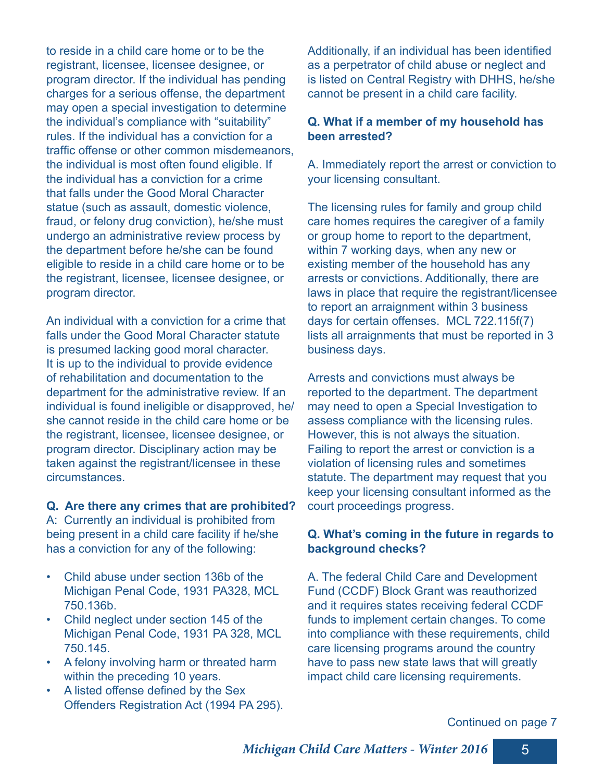to reside in a child care home or to be the registrant, licensee, licensee designee, or program director. If the individual has pending charges for a serious offense, the department may open a special investigation to determine the individual's compliance with "suitability" rules. If the individual has a conviction for a traffic offense or other common misdemeanors, the individual is most often found eligible. If the individual has a conviction for a crime that falls under the Good Moral Character statue (such as assault, domestic violence, fraud, or felony drug conviction), he/she must undergo an administrative review process by the department before he/she can be found eligible to reside in a child care home or to be the registrant, licensee, licensee designee, or program director.

An individual with a conviction for a crime that falls under the Good Moral Character statute is presumed lacking good moral character. It is up to the individual to provide evidence of rehabilitation and documentation to the department for the administrative review. If an individual is found ineligible or disapproved, he/ she cannot reside in the child care home or be the registrant, licensee, licensee designee, or program director. Disciplinary action may be taken against the registrant/licensee in these circumstances.

#### **Q. Are there any crimes that are prohibited?**

A: Currently an individual is prohibited from being present in a child care facility if he/she has a conviction for any of the following:

- Child abuse under section 136b of the Michigan Penal Code, 1931 PA328, MCL 750.136b.
- Child neglect under section 145 of the Michigan Penal Code, 1931 PA 328, MCL 750.145.
- A felony involving harm or threated harm within the preceding 10 years.
- A listed offense defined by the Sex Offenders Registration Act (1994 PA 295).

Additionally, if an individual has been identified as a perpetrator of child abuse or neglect and is listed on Central Registry with DHHS, he/she cannot be present in a child care facility.

#### **Q. What if a member of my household has been arrested?**

A. Immediately report the arrest or conviction to your licensing consultant.

The licensing rules for family and group child care homes requires the caregiver of a family or group home to report to the department, within 7 working days, when any new or existing member of the household has any arrests or convictions. Additionally, there are laws in place that require the registrant/licensee to report an arraignment within 3 business days for certain offenses. MCL 722.115f(7) lists all arraignments that must be reported in 3 business days.

Arrests and convictions must always be reported to the department. The department may need to open a Special Investigation to assess compliance with the licensing rules. However, this is not always the situation. Failing to report the arrest or conviction is a violation of licensing rules and sometimes statute. The department may request that you keep your licensing consultant informed as the court proceedings progress.

#### **Q. What's coming in the future in regards to background checks?**

A. The federal Child Care and Development Fund (CCDF) Block Grant was reauthorized and it requires states receiving federal CCDF funds to implement certain changes. To come into compliance with these requirements, child care licensing programs around the country have to pass new state laws that will greatly impact child care licensing requirements.

#### Continued on page 7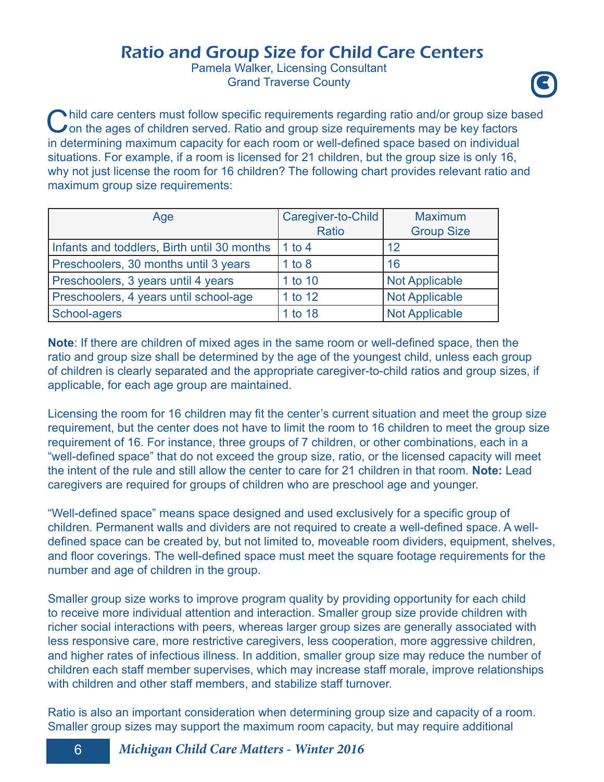## Ratio and Group Size for Child Care Centers

Pamela Walker, Licensing Consultant **Grand Traverse County** 



Child care centers must follow specific requirements regarding ratio and/or group size band on the ages of children served. Ratio and group size requirements may be key factors I hild care centers must follow specific requirements regarding ratio and/or group size based in determining maximum capacity for each room or well-defined space based on individual situations. For example, if a room is licensed for 21 children, but the group size is only 16, why not just license the room for 16 children? The following chart provides relevant ratio and maximum group size requirements:

| Age                                         | Caregiver-to-Child<br><b>Ratio</b> | <b>Maximum</b><br><b>Group Size</b> |
|---------------------------------------------|------------------------------------|-------------------------------------|
| Infants and toddlers, Birth until 30 months | 1 to 4                             | 12                                  |
| Preschoolers, 30 months until 3 years       | 1 to 8                             | 16                                  |
| Preschoolers, 3 years until 4 years         | 1 to 10                            | <b>Not Applicable</b>               |
| Preschoolers, 4 years until school-age      | 1 to 12                            | <b>Not Applicable</b>               |
| School-agers                                | 1 to 18                            | <b>Not Applicable</b>               |

**Note:** If there are children of mixed ages in the same room or well-defined space, then the ratio and group size shall be determined by the age of the youngest child, unless each group of children is clearly separated and the appropriate caregiver-to-child ratios and group sizes, if applicable, for each age group are maintained.

Licensing the room for 16 children may fit the center's current situation and meet the group size requirement, but the center does not have to limit the room to 16 children to meet the group size requirement of 16. For instance, three groups of 7 children, or other combinations, each in a "well-defined space" that do not exceed the group size, ratio, or the licensed capacity will meet the intent of the rule and still allow the center to care for 21 children in that room. **Note:** Lead caregivers are required for groups of children who are preschool age and younger.

"Well-defined space" means space designed and used exclusively for a specific group of children. Permanent walls and dividers are not required to create a well-defined space. A welldefined space can be created by, but not limited to, moveable room dividers, equipment, shelves, and floor coverings. The well-defined space must meet the square footage requirements for the number and age of children in the group.

Smaller group size works to improve program quality by providing opportunity for each child to receive more individual attention and interaction. Smaller group size provide children with richer social interactions with peers, whereas larger group sizes are generally associated with less responsive care, more restrictive caregivers, less cooperation, more aggressive children, and higher rates of infectious illness. In addition, smaller group size may reduce the number of children each staff member supervises, which may increase staff morale, improve relationships with children and other staff members, and stabilize staff turnover.

Ratio is also an important consideration when determining group size and capacity of a room. Smaller group sizes may support the maximum room capacity, but may require additional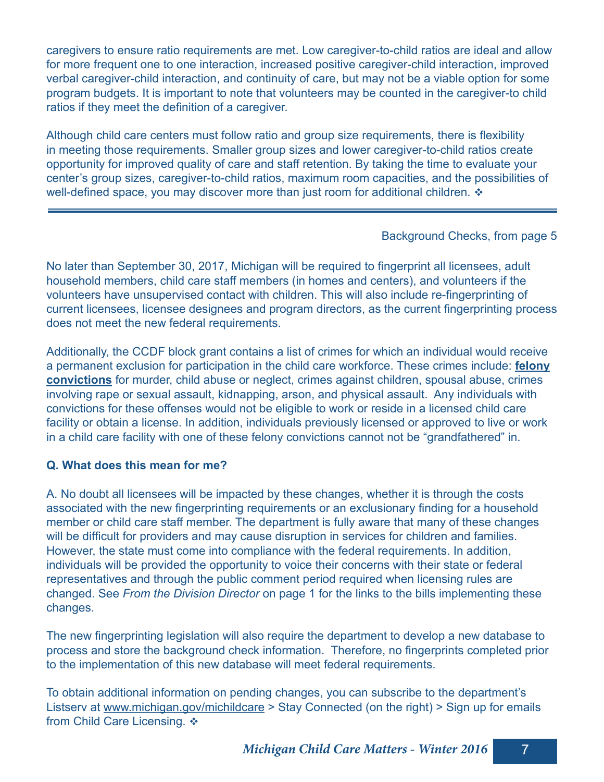caregivers to ensure ratio requirements are met. Low caregiver-to-child ratios are ideal and allow for more frequent one to one interaction, increased positive caregiver-child interaction, improved verbal caregiver-child interaction, and continuity of care, but may not be a viable option for some program budgets. It is important to note that volunteers may be counted in the caregiver-to child ratios if they meet the definition of a caregiver.

Although child care centers must follow ratio and group size requirements, there is flexibility in meeting those requirements. Smaller group sizes and lower caregiver-to-child ratios create opportunity for improved quality of care and staff retention. By taking the time to evaluate your center's group sizes, caregiver-to-child ratios, maximum room capacities, and the possibilities of well-defined space, you may discover more than just room for additional children.  $\triangleleft$ 

#### Background Checks, from page 5

No later than September 30, 2017, Michigan will be required to fingerprint all licensees, adult household members, child care staff members (in homes and centers), and volunteers if the volunteers have unsupervised contact with children. This will also include re-fingerprinting of current licensees, licensee designees and program directors, as the current fingerprinting process does not meet the new federal requirements.

Additionally, the CCDF block grant contains a list of crimes for which an individual would receive a permanent exclusion for participation in the child care workforce. These crimes include: **felony convictions** for murder, child abuse or neglect, crimes against children, spousal abuse, crimes involving rape or sexual assault, kidnapping, arson, and physical assault. Any individuals with convictions for these offenses would not be eligible to work or reside in a licensed child care facility or obtain a license. In addition, individuals previously licensed or approved to live or work in a child care facility with one of these felony convictions cannot not be "grandfathered" in.

#### **Q. What does this mean for me?**

A. No doubt all licensees will be impacted by these changes, whether it is through the costs associated with the new fingerprinting requirements or an exclusionary finding for a household member or child care staff member. The department is fully aware that many of these changes will be difficult for providers and may cause disruption in services for children and families. However, the state must come into compliance with the federal requirements. In addition, individuals will be provided the opportunity to voice their concerns with their state or federal representatives and through the public comment period required when licensing rules are changed. See *From the Division Director* on page 1 for the links to the bills implementing these changes.

The new fingerprinting legislation will also require the department to develop a new database to process and store the background check information. Therefore, no fingerprints completed prior to the implementation of this new database will meet federal requirements.

To obtain additional information on pending changes, you can subscribe to the department's Listserv at www.michigan.gov/michildcare > Stay Connected (on the right) > Sign up for emails from Child Care Licensing.  $\triangle$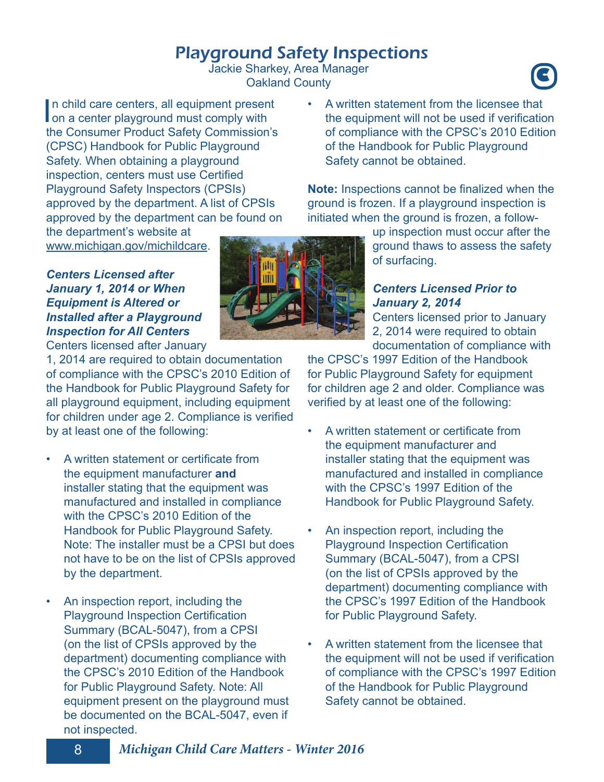## Playground Safety Inspections

Jackie Sharkey, Area Manager Oakland County **<sup>C</sup>**

In child care centers, all equipment present<br>on a center playground must comply with n child care centers, all equipment present the Consumer Product Safety Commission's (CPSC) Handbook for Public Playground Safety. When obtaining a playground inspection, centers must use Certified Playground Safety Inspectors (CPSIs) approved by the department. A list of CPSIs approved by the department can be found on

the department's website at www.michigan.gov/michildcare.

#### *Centers Licensed after January 1, 2014 or When Equipment is Altered or Installed after a Playground Inspection for All Centers*

Centers licensed after January

1, 2014 are required to obtain documentation of compliance with the CPSC's 2010 Edition of the Handbook for Public Playground Safety for all playground equipment, including equipment for children under age 2. Compliance is verified by at least one of the following:

- A written statement or certificate from the equipment manufacturer **and**  installer stating that the equipment was manufactured and installed in compliance with the CPSC's 2010 Edition of the Handbook for Public Playground Safety. Note: The installer must be a CPSI but does not have to be on the list of CPSIs approved by the department.
- An inspection report, including the Playground Inspection Certification Summary (BCAL-5047), from a CPSI (on the list of CPSIs approved by the department) documenting compliance with the CPSC's 2010 Edition of the Handbook for Public Playground Safety. Note: All equipment present on the playground must be documented on the BCAL-5047, even if not inspected.

• A written statement from the licensee that the equipment will not be used if verification of compliance with the CPSC's 2010 Edition of the Handbook for Public Playground Safety cannot be obtained.

**Note:** Inspections cannot be finalized when the ground is frozen. If a playground inspection is initiated when the ground is frozen, a follow-

> up inspection must occur after the ground thaws to assess the safety of surfacing.

#### *Centers Licensed Prior to January 2, 2014*

Centers licensed prior to January 2, 2014 were required to obtain documentation of compliance with

the CPSC's 1997 Edition of the Handbook for Public Playground Safety for equipment for children age 2 and older. Compliance was verified by at least one of the following:

- A written statement or certificate from the equipment manufacturer and installer stating that the equipment was manufactured and installed in compliance with the CPSC's 1997 Edition of the Handbook for Public Playground Safety.
- An inspection report, including the Playground Inspection Certification Summary (BCAL-5047), from a CPSI (on the list of CPSIs approved by the department) documenting compliance with the CPSC's 1997 Edition of the Handbook for Public Playground Safety.
- A written statement from the licensee that the equipment will not be used if verification of compliance with the CPSC's 1997 Edition of the Handbook for Public Playground Safety cannot be obtained.

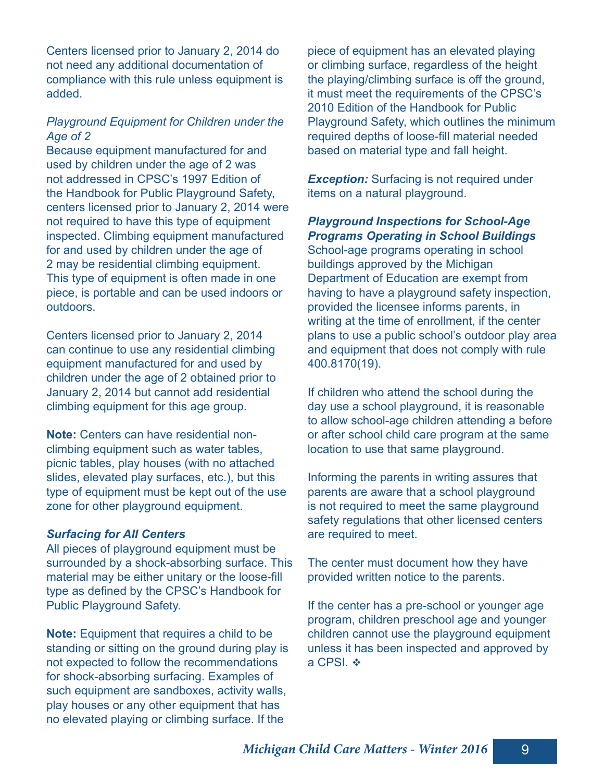Centers licensed prior to January 2, 2014 do not need any additional documentation of compliance with this rule unless equipment is added.

#### *Playground Equipment for Children under the Age of 2*

Because equipment manufactured for and used by children under the age of 2 was not addressed in CPSC's 1997 Edition of the Handbook for Public Playground Safety, centers licensed prior to January 2, 2014 were not required to have this type of equipment inspected. Climbing equipment manufactured for and used by children under the age of 2 may be residential climbing equipment. This type of equipment is often made in one piece, is portable and can be used indoors or outdoors.

Centers licensed prior to January 2, 2014 can continue to use any residential climbing equipment manufactured for and used by children under the age of 2 obtained prior to January 2, 2014 but cannot add residential climbing equipment for this age group.

**Note:** Centers can have residential nonclimbing equipment such as water tables, picnic tables, play houses (with no attached slides, elevated play surfaces, etc.), but this type of equipment must be kept out of the use zone for other playground equipment.

#### *Surfacing for All Centers*

All pieces of playground equipment must be surrounded by a shock-absorbing surface. This material may be either unitary or the loose-fill type as defined by the CPSC's Handbook for Public Playground Safety.

**Note:** Equipment that requires a child to be standing or sitting on the ground during play is not expected to follow the recommendations for shock-absorbing surfacing. Examples of such equipment are sandboxes, activity walls, play houses or any other equipment that has no elevated playing or climbing surface. If the

piece of equipment has an elevated playing or climbing surface, regardless of the height the playing/climbing surface is off the ground, it must meet the requirements of the CPSC's 2010 Edition of the Handbook for Public Playground Safety, which outlines the minimum required depths of loose-fill material needed based on material type and fall height.

**Exception:** Surfacing is not required under items on a natural playground.

#### *Playground Inspections for School-Age Programs Operating in School Buildings*

School-age programs operating in school buildings approved by the Michigan Department of Education are exempt from having to have a playground safety inspection, provided the licensee informs parents, in writing at the time of enrollment, if the center plans to use a public school's outdoor play area and equipment that does not comply with rule 400.8170(19).

If children who attend the school during the day use a school playground, it is reasonable to allow school-age children attending a before or after school child care program at the same location to use that same playground.

Informing the parents in writing assures that parents are aware that a school playground is not required to meet the same playground safety regulations that other licensed centers are required to meet.

The center must document how they have provided written notice to the parents.

If the center has a pre-school or younger age program, children preschool age and younger children cannot use the playground equipment unless it has been inspected and approved by a CPSI.  $\div$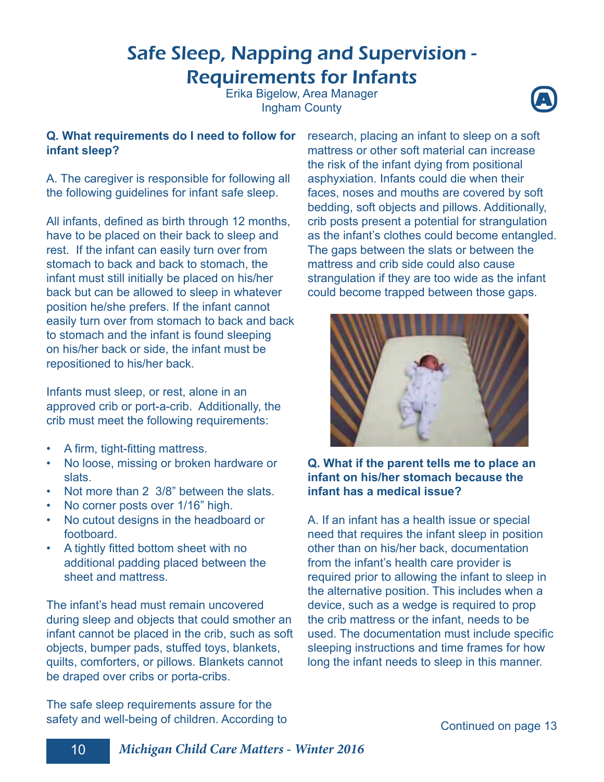## Safe Sleep, Napping and Supervision - Requirements for Infants

Erika Bigelow, Area Manager Ingham County **<sup>A</sup>**



#### **Q. What requirements do I need to follow for infant sleep?**

A. The caregiver is responsible for following all the following guidelines for infant safe sleep.

All infants, defined as birth through 12 months, have to be placed on their back to sleep and rest. If the infant can easily turn over from stomach to back and back to stomach, the infant must still initially be placed on his/her back but can be allowed to sleep in whatever position he/she prefers. If the infant cannot easily turn over from stomach to back and back to stomach and the infant is found sleeping on his/her back or side, the infant must be repositioned to his/her back.

Infants must sleep, or rest, alone in an approved crib or port-a-crib. Additionally, the crib must meet the following requirements:

- A firm, tight-fitting mattress.
- No loose, missing or broken hardware or slats.
- Not more than 2 3/8" between the slats.
- No corner posts over 1/16" high.
- No cutout designs in the headboard or footboard.
- A tightly fitted bottom sheet with no additional padding placed between the sheet and mattress.

The infant's head must remain uncovered during sleep and objects that could smother an infant cannot be placed in the crib, such as soft objects, bumper pads, stuffed toys, blankets, quilts, comforters, or pillows. Blankets cannot be draped over cribs or porta-cribs.

The safe sleep requirements assure for the safety and well-being of children. According to research, placing an infant to sleep on a soft mattress or other soft material can increase the risk of the infant dying from positional asphyxiation. Infants could die when their faces, noses and mouths are covered by soft bedding, soft objects and pillows. Additionally, crib posts present a potential for strangulation as the infant's clothes could become entangled. The gaps between the slats or between the mattress and crib side could also cause strangulation if they are too wide as the infant could become trapped between those gaps.



#### **Q. What if the parent tells me to place an infant on his/her stomach because the infant has a medical issue?**

A. If an infant has a health issue or special need that requires the infant sleep in position other than on his/her back, documentation from the infant's health care provider is required prior to allowing the infant to sleep in the alternative position. This includes when a device, such as a wedge is required to prop the crib mattress or the infant, needs to be used. The documentation must include specific sleeping instructions and time frames for how long the infant needs to sleep in this manner.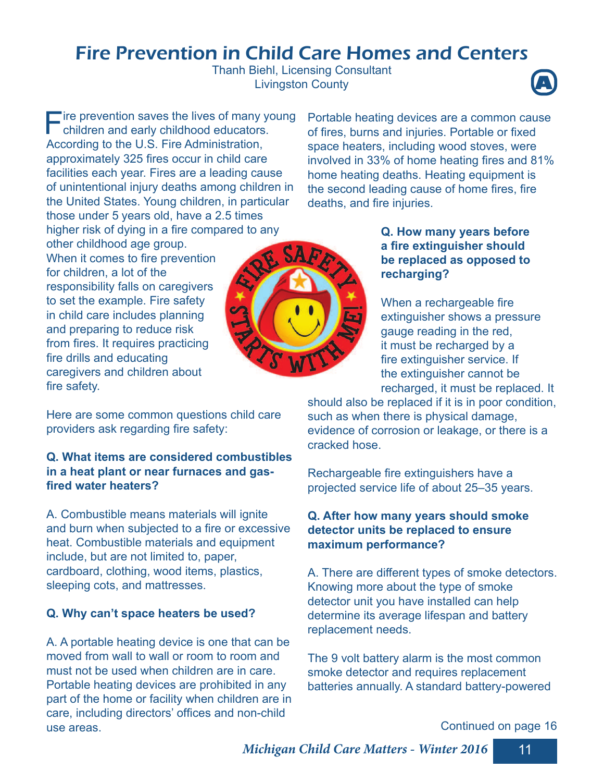## Fire Prevention in Child Care Homes and Centers

Thanh Biehl, Licensing Consultant **Livingston County** 



Fire prevention saves the lives of many you children and early childhood educators. **Tire prevention saves the lives of many young** According to the U.S. Fire Administration, approximately 325 fires occur in child care facilities each year. Fires are a leading cause of unintentional injury deaths among children in the United States. Young children, in particular those under 5 years old, have a 2.5 times higher risk of dying in a fire compared to any

other childhood age group. When it comes to fire prevention for children, a lot of the responsibility falls on caregivers to set the example. Fire safety in child care includes planning and preparing to reduce risk from fires. It requires practicing fire drills and educating caregivers and children about fire safety.

Here are some common questions child care providers ask regarding fire safety:

#### **Q. What items are considered combustibles in a heat plant or near furnaces and gasfi red water heaters?**

A. Combustible means materials will ignite and burn when subjected to a fire or excessive heat. Combustible materials and equipment include, but are not limited to, paper, cardboard, clothing, wood items, plastics, sleeping cots, and mattresses.

#### **Q. Why can't space heaters be used?**

A. A portable heating device is one that can be moved from wall to wall or room to room and must not be used when children are in care. Portable heating devices are prohibited in any part of the home or facility when children are in care, including directors' offices and non-child use areas.

Portable heating devices are a common cause of fires, burns and injuries. Portable or fixed space heaters, including wood stoves, were involved in 33% of home heating fires and 81% home heating deaths. Heating equipment is the second leading cause of home fires, fire deaths, and fire injuries.

#### **Q. How many years before a fire extinguisher should be replaced as opposed to recharging?**

When a rechargeable fire extinguisher shows a pressure gauge reading in the red, it must be recharged by a fire extinguisher service. If the extinguisher cannot be recharged, it must be replaced. It

should also be replaced if it is in poor condition, such as when there is physical damage, evidence of corrosion or leakage, or there is a cracked hose.

Rechargeable fire extinguishers have a projected service life of about 25–35 years.

#### **Q. After how many years should smoke detector units be replaced to ensure maximum performance?**

A. There are different types of smoke detectors. Knowing more about the type of smoke detector unit you have installed can help determine its average lifespan and battery replacement needs.

The 9 volt battery alarm is the most common smoke detector and requires replacement batteries annually. A standard battery-powered

Continued on page 16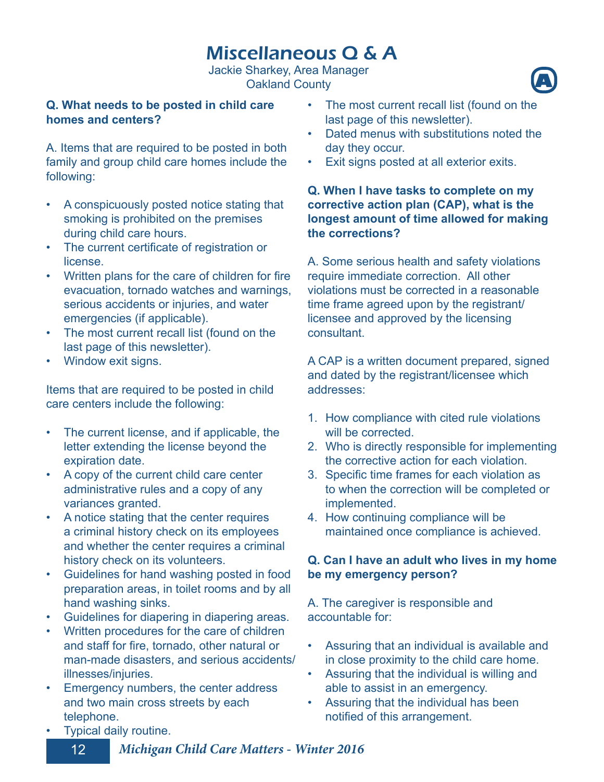## Miscellaneous Q & A

Jackie Sharkey, Area Manager **Oakland County** 

#### **Q. What needs to be posted in child care homes and centers?**

A. Items that are required to be posted in both family and group child care homes include the following:

- A conspicuously posted notice stating that smoking is prohibited on the premises during child care hours.
- The current certificate of registration or license.
- Written plans for the care of children for fire evacuation, tornado watches and warnings, serious accidents or injuries, and water emergencies (if applicable).
- The most current recall list (found on the last page of this newsletter).
- Window exit signs.

Items that are required to be posted in child care centers include the following:

- The current license, and if applicable, the letter extending the license beyond the expiration date.
- A copy of the current child care center administrative rules and a copy of any variances granted.
- A notice stating that the center requires a criminal history check on its employees and whether the center requires a criminal history check on its volunteers.
- Guidelines for hand washing posted in food preparation areas, in toilet rooms and by all hand washing sinks.
- Guidelines for diapering in diapering areas.
- Written procedures for the care of children and staff for fire, tornado, other natural or man-made disasters, and serious accidents/ illnesses/injuries.
- Emergency numbers, the center address and two main cross streets by each telephone.
- The most current recall list (found on the last page of this newsletter).
- Dated menus with substitutions noted the day they occur.
- Exit signs posted at all exterior exits.

#### **Q. When I have tasks to complete on my corrective action plan (CAP), what is the longest amount of time allowed for making the corrections?**

A. Some serious health and safety violations require immediate correction. All other violations must be corrected in a reasonable time frame agreed upon by the registrant/ licensee and approved by the licensing consultant.

A CAP is a written document prepared, signed and dated by the registrant/licensee which addresses:

- 1. How compliance with cited rule violations will be corrected.
- 2. Who is directly responsible for implementing the corrective action for each violation.
- 3. Specific time frames for each violation as to when the correction will be completed or implemented.
- 4. How continuing compliance will be maintained once compliance is achieved.

#### **Q. Can I have an adult who lives in my home be my emergency person?**

A. The caregiver is responsible and accountable for:

- Assuring that an individual is available and in close proximity to the child care home.
- Assuring that the individual is willing and able to assist in an emergency.
- Assuring that the individual has been notified of this arrangement.

• Typical daily routine.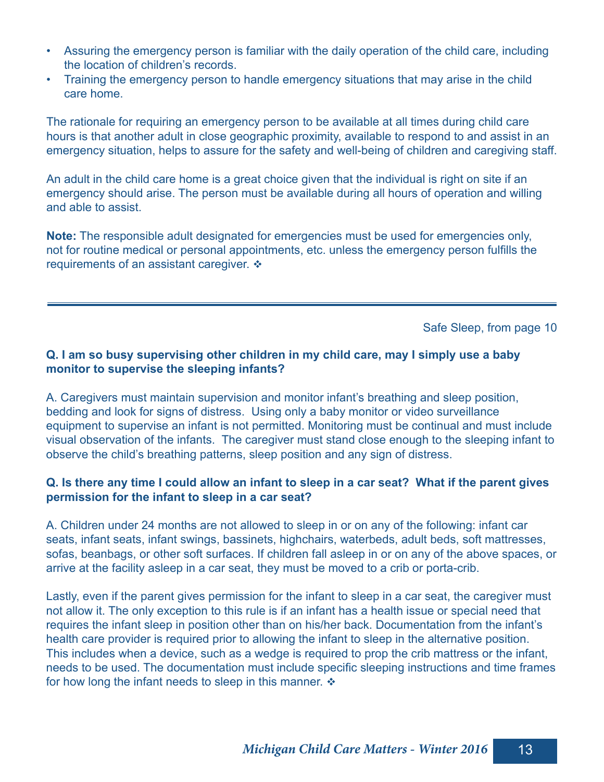- Assuring the emergency person is familiar with the daily operation of the child care, including the location of children's records.
- Training the emergency person to handle emergency situations that may arise in the child care home.

The rationale for requiring an emergency person to be available at all times during child care hours is that another adult in close geographic proximity, available to respond to and assist in an emergency situation, helps to assure for the safety and well-being of children and caregiving staff.

An adult in the child care home is a great choice given that the individual is right on site if an emergency should arise. The person must be available during all hours of operation and willing and able to assist.

**Note:** The responsible adult designated for emergencies must be used for emergencies only, not for routine medical or personal appointments, etc. unless the emergency person fulfills the requirements of an assistant caregiver.  $\triangle$ 

Safe Sleep, from page 10

#### **Q. I am so busy supervising other children in my child care, may I simply use a baby monitor to supervise the sleeping infants?**

A. Caregivers must maintain supervision and monitor infant's breathing and sleep position, bedding and look for signs of distress. Using only a baby monitor or video surveillance equipment to supervise an infant is not permitted. Monitoring must be continual and must include visual observation of the infants. The caregiver must stand close enough to the sleeping infant to observe the child's breathing patterns, sleep position and any sign of distress.

#### **Q. Is there any time I could allow an infant to sleep in a car seat? What if the parent gives permission for the infant to sleep in a car seat?**

A. Children under 24 months are not allowed to sleep in or on any of the following: infant car seats, infant seats, infant swings, bassinets, highchairs, waterbeds, adult beds, soft mattresses, sofas, beanbags, or other soft surfaces. If children fall asleep in or on any of the above spaces, or arrive at the facility asleep in a car seat, they must be moved to a crib or porta-crib.

Lastly, even if the parent gives permission for the infant to sleep in a car seat, the caregiver must not allow it. The only exception to this rule is if an infant has a health issue or special need that requires the infant sleep in position other than on his/her back. Documentation from the infant's health care provider is required prior to allowing the infant to sleep in the alternative position. This includes when a device, such as a wedge is required to prop the crib mattress or the infant, needs to be used. The documentation must include specific sleeping instructions and time frames for how long the infant needs to sleep in this manner.  $\triangleleft$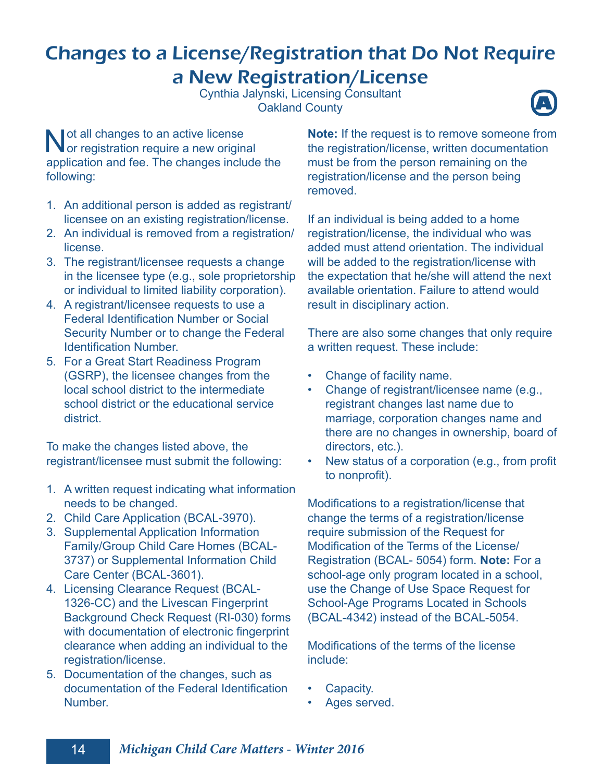## Changes to a License/Registration that Do Not Require a New Registration/License

Cynthia Jalynski, Licensing Consultant Oakland County **A**



Not all changes to an active license<br>
or registration require a new origin or registration require a new original application and fee. The changes include the following:

- 1. An additional person is added as registrant/ licensee on an existing registration/license.
- 2. An individual is removed from a registration/ license.
- 3. The registrant/licensee requests a change in the licensee type (e.g., sole proprietorship or individual to limited liability corporation).
- 4. A registrant/licensee requests to use a **Federal Identification Number or Social** Security Number or to change the Federal **Identification Number.**
- 5. For a Great Start Readiness Program (GSRP), the licensee changes from the local school district to the intermediate school district or the educational service district.

To make the changes listed above, the registrant/licensee must submit the following:

- 1. A written request indicating what information needs to be changed.
- 2. Child Care Application (BCAL-3970).
- 3. Supplemental Application Information Family/Group Child Care Homes (BCAL-3737) or Supplemental Information Child Care Center (BCAL-3601).
- 4. Licensing Clearance Request (BCAL-1326-CC) and the Livescan Fingerprint Background Check Request (RI-030) forms with documentation of electronic fingerprint clearance when adding an individual to the registration/license.
- 5. Documentation of the changes, such as documentation of the Federal Identification **Number**

**Note:** If the request is to remove someone from the registration/license, written documentation must be from the person remaining on the registration/license and the person being removed.

If an individual is being added to a home registration/license, the individual who was added must attend orientation. The individual will be added to the registration/license with the expectation that he/she will attend the next available orientation. Failure to attend would result in disciplinary action.

There are also some changes that only require a written request. These include:

- Change of facility name.
- Change of registrant/licensee name (e.g., registrant changes last name due to marriage, corporation changes name and there are no changes in ownership, board of directors, etc.).
- New status of a corporation (e.g., from profit to nonprofit).

Modifications to a registration/license that change the terms of a registration/license require submission of the Request for Modification of the Terms of the License/ Registration (BCAL- 5054) form. **Note:** For a school-age only program located in a school, use the Change of Use Space Request for School-Age Programs Located in Schools (BCAL-4342) instead of the BCAL-5054.

Modifications of the terms of the license include:

- Capacity.
- Ages served.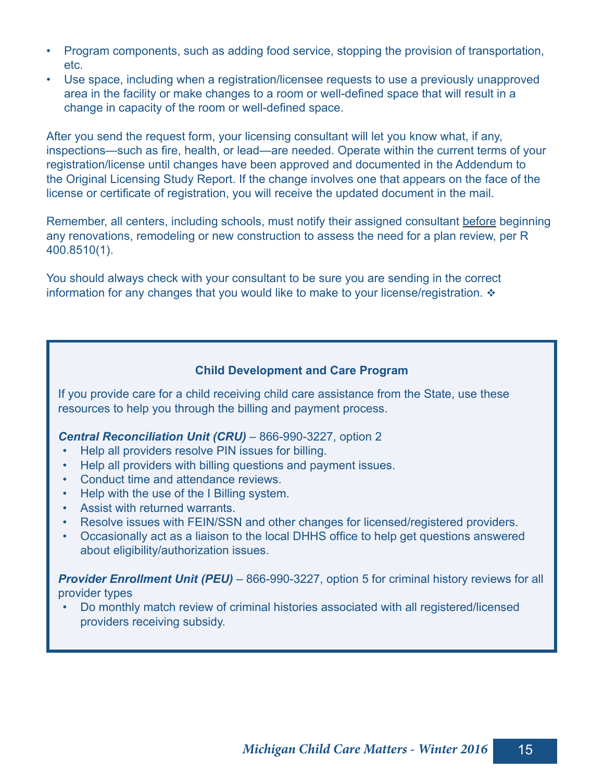- Program components, such as adding food service, stopping the provision of transportation, etc.
- Use space, including when a registration/licensee requests to use a previously unapproved area in the facility or make changes to a room or well-defined space that will result in a change in capacity of the room or well-defined space.

After you send the request form, your licensing consultant will let you know what, if any, inspections—such as fire, health, or lead—are needed. Operate within the current terms of your registration/license until changes have been approved and documented in the Addendum to the Original Licensing Study Report. If the change involves one that appears on the face of the license or certificate of registration, you will receive the updated document in the mail.

Remember, all centers, including schools, must notify their assigned consultant before beginning any renovations, remodeling or new construction to assess the need for a plan review, per R 400.8510(1).

You should always check with your consultant to be sure you are sending in the correct information for any changes that you would like to make to your license/registration.  $\cdot$ 

#### **Child Development and Care Program**

If you provide care for a child receiving child care assistance from the State, use these resources to help you through the billing and payment process.

#### *Central Reconciliation Unit (CRU)* – 866-990-3227, option 2

- Help all providers resolve PIN issues for billing.
- Help all providers with billing questions and payment issues.
- Conduct time and attendance reviews.
- Help with the use of the I Billing system.
- Assist with returned warrants.
- Resolve issues with FEIN/SSN and other changes for licensed/registered providers.
- Occasionally act as a liaison to the local DHHS office to help get questions answered about eligibility/authorization issues.

**Provider Enrollment Unit (PEU)** – 866-990-3227, option 5 for criminal history reviews for all provider types

• Do monthly match review of criminal histories associated with all registered/licensed providers receiving subsidy.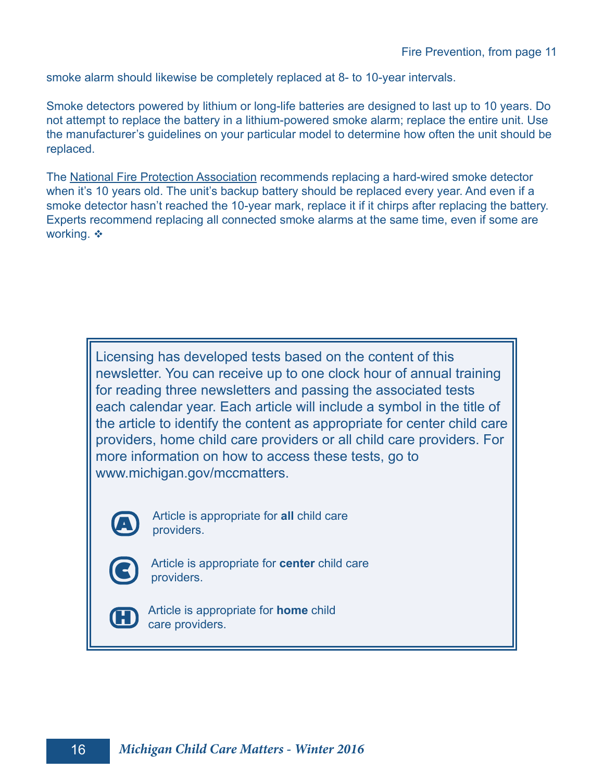smoke alarm should likewise be completely replaced at 8- to 10-year intervals.

Smoke detectors powered by lithium or long-life batteries are designed to last up to 10 years. Do not attempt to replace the battery in a lithium-powered smoke alarm; replace the entire unit. Use the manufacturer's guidelines on your particular model to determine how often the unit should be replaced.

The National Fire Protection Association recommends replacing a hard-wired smoke detector when it's 10 years old. The unit's backup battery should be replaced every year. And even if a smoke detector hasn't reached the 10-year mark, replace it if it chirps after replacing the battery. Experts recommend replacing all connected smoke alarms at the same time, even if some are working. ❖

Licensing has developed tests based on the content of this newsletter. You can receive up to one clock hour of annual training for reading three newsletters and passing the associated tests each calendar year. Each article will include a symbol in the title of the article to identify the content as appropriate for center child care providers, home child care providers or all child care providers. For more information on how to access these tests, go to www.michigan.gov/mccmatters.



Article is appropriate for **all** child care providers.



Article is appropriate for **center** child care providers.



Article is appropriate for **home** child care providers.